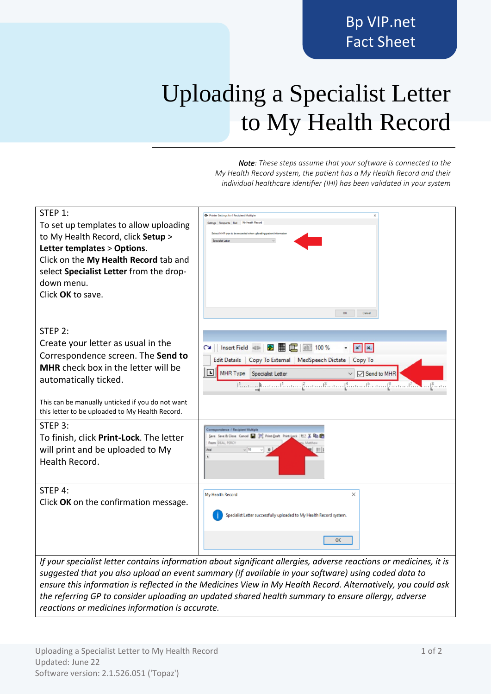## Uploading a Specialist Letter to My Health Record

*Note: These steps assume that your software is connected to the My Health Record system, the patient has a My Health Record and their individual healthcare identifier (IHI) has been validated in your system*

| STEP 1:<br>To set up templates to allow uploading<br>to My Health Record, click Setup ><br>Letter templates > Options.<br>Click on the My Health Record tab and<br>select Specialist Letter from the drop-<br>down menu.<br>Click OK to save. | <b>O</b> - Printer Settings for ! Recipient Multiple<br>Settings Recipients Rsd My Health Record<br>Select MHR type to be recorded when uploading patient information<br>OK<br>Cancel |
|-----------------------------------------------------------------------------------------------------------------------------------------------------------------------------------------------------------------------------------------------|---------------------------------------------------------------------------------------------------------------------------------------------------------------------------------------|
| STEP 2:                                                                                                                                                                                                                                       |                                                                                                                                                                                       |
| Create your letter as usual in the                                                                                                                                                                                                            | Insert Field < <b>x x x H</b> $\frac{1}{2}$ at 100 %<br>$\begin{array}{c c c c} \hline \textbf{x}^1 & \textbf{x}_1 \\\hline \end{array}$<br>$\sim$                                    |
| Correspondence screen. The Send to<br><b>MHR</b> check box in the letter will be                                                                                                                                                              | Edit Details   Copy To External   MedSpeech Dictate   Copy To                                                                                                                         |
| automatically ticked.                                                                                                                                                                                                                         | 回<br>MHR Type Specialist Letter<br>Send to MHR<br>thermal commitment from the complement from the complex of the set                                                                  |
| This can be manually unticked if you do not want<br>this letter to be uploaded to My Health Record.                                                                                                                                           |                                                                                                                                                                                       |
| STEP 3:                                                                                                                                                                                                                                       | Correspondence : 1 Recipient Multiple<br>Save Save & Close Cancel   19 Print-Daft Print-Lock   ECT                                                                                    |
| To finish, click Print-Lock. The letter<br>will print and be uploaded to My                                                                                                                                                                   | From DEAL PERCY<br>用用                                                                                                                                                                 |
| Health Record.                                                                                                                                                                                                                                |                                                                                                                                                                                       |
| STEP 4:                                                                                                                                                                                                                                       | $\times$<br>My Health Record                                                                                                                                                          |
| Click OK on the confirmation message.                                                                                                                                                                                                         |                                                                                                                                                                                       |
|                                                                                                                                                                                                                                               | Specialist Letter successfully uploaded to My Health Record system.                                                                                                                   |
|                                                                                                                                                                                                                                               | ОK                                                                                                                                                                                    |
| If your specialist letter contains information about significant allergies, adverse reactions or medicines, it is                                                                                                                             |                                                                                                                                                                                       |
| suggested that you also upload an event summary (if available in your software) using coded data to<br>ensure this information is reflected in the Medicines View in My Health Record, Alternatively, you could ask                           |                                                                                                                                                                                       |

*ensure this information is reflected in the Medicines View in My Health Record. Alternatively, you could ask the referring GP to consider uploading an updated shared health summary to ensure allergy, adverse reactions or medicines information is accurate.*